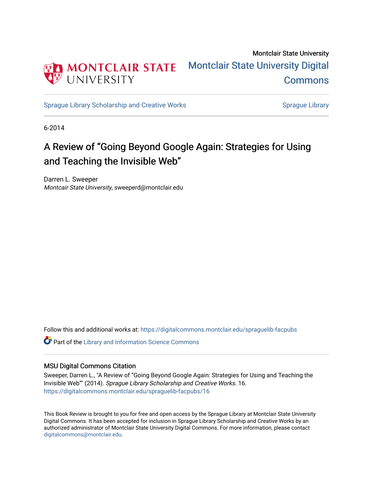

Montclair State University [Montclair State University Digital](https://digitalcommons.montclair.edu/)  **Commons** 

[Sprague Library Scholarship and Creative Works](https://digitalcommons.montclair.edu/spraguelib-facpubs) Sprague Communications Sprague Library

6-2014

# A Review of "Going Beyond Google Again: Strategies for Using and Teaching the Invisible Web"

Darren L. Sweeper Montcair State University, sweeperd@montclair.edu

Follow this and additional works at: [https://digitalcommons.montclair.edu/spraguelib-facpubs](https://digitalcommons.montclair.edu/spraguelib-facpubs?utm_source=digitalcommons.montclair.edu%2Fspraguelib-facpubs%2F16&utm_medium=PDF&utm_campaign=PDFCoverPages) 

Part of the [Library and Information Science Commons](http://network.bepress.com/hgg/discipline/1018?utm_source=digitalcommons.montclair.edu%2Fspraguelib-facpubs%2F16&utm_medium=PDF&utm_campaign=PDFCoverPages) 

### MSU Digital Commons Citation

Sweeper, Darren L., "A Review of "Going Beyond Google Again: Strategies for Using and Teaching the Invisible Web"" (2014). Sprague Library Scholarship and Creative Works. 16. [https://digitalcommons.montclair.edu/spraguelib-facpubs/16](https://digitalcommons.montclair.edu/spraguelib-facpubs/16?utm_source=digitalcommons.montclair.edu%2Fspraguelib-facpubs%2F16&utm_medium=PDF&utm_campaign=PDFCoverPages)

This Book Review is brought to you for free and open access by the Sprague Library at Montclair State University Digital Commons. It has been accepted for inclusion in Sprague Library Scholarship and Creative Works by an authorized administrator of Montclair State University Digital Commons. For more information, please contact [digitalcommons@montclair.edu.](mailto:digitalcommons@montclair.edu)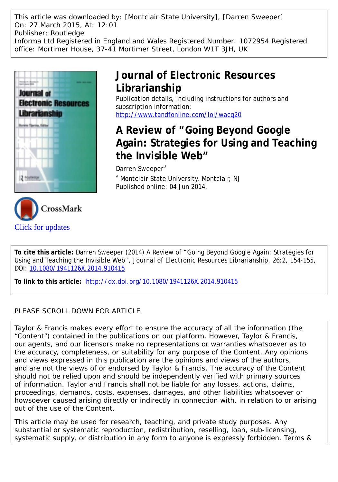This article was downloaded by: [Montclair State University], [Darren Sweeper] On: 27 March 2015, At: 12:01 Publisher: Routledge Informa Ltd Registered in England and Wales Registered Number: 1072954 Registered office: Mortimer House, 37-41 Mortimer Street, London W1T 3JH, UK

**Librarianship**

subscription information:

**Journal of Electronic Resources**

Publication details, including instructions for authors and

**A Review of "Going Beyond Google**



## **Again: Strategies for Using and Teaching the Invisible Web"** Darren Sweeper<sup>a</sup>

<sup>a</sup> Montclair State University, Montclair, NJ Published online: 04 Jun 2014.

<http://www.tandfonline.com/loi/wacq20>



**To cite this article:** Darren Sweeper (2014) A Review of "Going Beyond Google Again: Strategies for Using and Teaching the Invisible Web", Journal of Electronic Resources Librarianship, 26:2, 154-155, DOI: [10.1080/1941126X.2014.910415](http://www.tandfonline.com/action/showCitFormats?doi=10.1080/1941126X.2014.910415)

**To link to this article:** <http://dx.doi.org/10.1080/1941126X.2014.910415>

### PLEASE SCROLL DOWN FOR ARTICLE

Taylor & Francis makes every effort to ensure the accuracy of all the information (the "Content") contained in the publications on our platform. However, Taylor & Francis, our agents, and our licensors make no representations or warranties whatsoever as to the accuracy, completeness, or suitability for any purpose of the Content. Any opinions and views expressed in this publication are the opinions and views of the authors, and are not the views of or endorsed by Taylor & Francis. The accuracy of the Content should not be relied upon and should be independently verified with primary sources of information. Taylor and Francis shall not be liable for any losses, actions, claims, proceedings, demands, costs, expenses, damages, and other liabilities whatsoever or howsoever caused arising directly or indirectly in connection with, in relation to or arising out of the use of the Content.

This article may be used for research, teaching, and private study purposes. Any substantial or systematic reproduction, redistribution, reselling, loan, sub-licensing, systematic supply, or distribution in any form to anyone is expressly forbidden. Terms &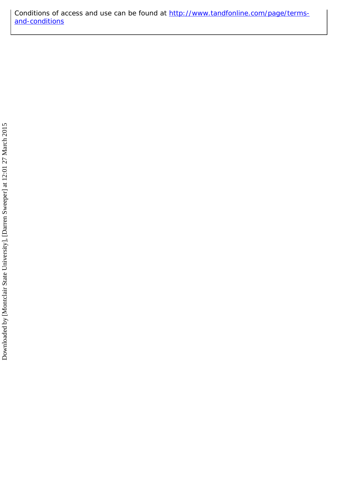Conditions of access and use can be found at [http://www.tandfonline.com/page/terms](http://www.tandfonline.com/page/terms-and-conditions)[and-conditions](http://www.tandfonline.com/page/terms-and-conditions)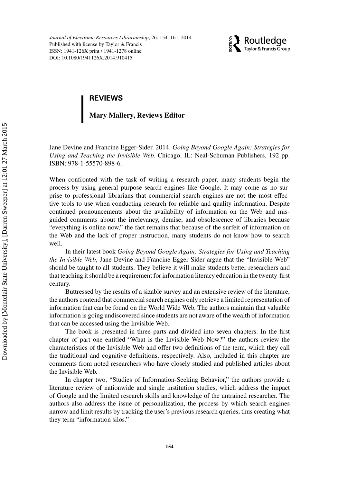

### **REVIEWS**

# **Mary Mallery, Reviews Editor**

Jane Devine and Francine Egger-Sider. 2014. *Going Beyond Google Again: Strategies for Using and Teaching the Invisible Web.* Chicago, IL: Neal-Schuman Publishers, 192 pp. ISBN: 978-1-55570-898-6.

When confronted with the task of writing a research paper, many students begin the process by using general purpose search engines like Google. It may come as no surprise to professional librarians that commercial search engines are not the most effective tools to use when conducting research for reliable and quality information. Despite continued pronouncements about the availability of information on the Web and misguided comments about the irrelevancy, demise, and obsolescence of libraries because "everything is online now," the fact remains that because of the surfeit of information on the Web and the lack of proper instruction, many students do not know how to search well.

In their latest book *Going Beyond Google Again: Strategies for Using and Teaching the Invisible Web*, Jane Devine and Francine Egger-Sider argue that the "Invisible Web" should be taught to all students. They believe it will make students better researchers and that teaching it should be a requirement for information literacy education in the twenty-first century.

Buttressed by the results of a sizable survey and an extensive review of the literature, the authors contend that commercial search engines only retrieve a limited representation of information that can be found on the World Wide Web. The authors maintain that valuable information is going undiscovered since students are not aware of the wealth of information that can be accessed using the Invisible Web.

The book is presented in three parts and divided into seven chapters. In the first chapter of part one entitled "What is the Invisible Web Now?" the authors review the characteristics of the Invisible Web and offer two definitions of the term, which they call the traditional and cognitive definitions, respectively. Also, included in this chapter are comments from noted researchers who have closely studied and published articles about the Invisible Web.

In chapter two, "Studies of Information-Seeking Behavior," the authors provide a literature review of nationwide and single institution studies, which address the impact of Google and the limited research skills and knowledge of the untrained researcher. The authors also address the issue of personalization, the process by which search engines narrow and limit results by tracking the user's previous research queries, thus creating what they term "information silos."